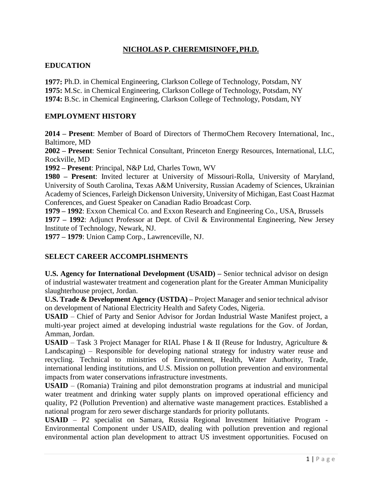# **NICHOLAS P. CHEREMISINOFF,PH.D.**

### **EDUCATION**

**1977:** Ph.D. in Chemical Engineering, Clarkson College of Technology, Potsdam, NY **1975:** M.Sc. in Chemical Engineering, Clarkson College of Technology, Potsdam, NY **1974:** B.Sc. in Chemical Engineering, Clarkson College of Technology, Potsdam, NY

### **EMPLOYMENT HISTORY**

**2014 – Present**: Member of Board of Directors of ThermoChem Recovery International, Inc., Baltimore, MD

**2002 – Present**: Senior Technical Consultant, Princeton Energy Resources, International, LLC, Rockville, MD

**1992 – Present**: Principal, N&P Ltd, Charles Town, WV

**1980 – Present**: Invited lecturer at University of Missouri-Rolla, University of Maryland, University of South Carolina, Texas A&M University, Russian Academy of Sciences, Ukrainian Academy of Sciences, Farleigh Dickenson University, University of Michigan, East Coast Hazmat Conferences, and Guest Speaker on Canadian Radio Broadcast Corp.

**1979 – 1992**: Exxon Chemical Co. and Exxon Research and Engineering Co., USA, Brussels **1977 – 1992**: Adjunct Professor at Dept. of Civil & Environmental Engineering, New Jersey Institute of Technology, Newark, NJ.

**1977 – 1979**: Union Camp Corp., Lawrenceville, NJ.

### **SELECT CAREER ACCOMPLISHMENTS**

**U.S. Agency for International Development (USAID) –** Senior technical advisor on design of industrial wastewater treatment and cogeneration plant for the Greater Amman Municipality slaughterhouse project, Jordan.

**U.S. Trade & Development Agency (USTDA) –** Project Manager and senior technical advisor on development of National Electricity Health and Safety Codes, Nigeria.

**USAID** – Chief of Party and Senior Advisor for Jordan Industrial Waste Manifest project, a multi-year project aimed at developing industrial waste regulations for the Gov. of Jordan, Amman, Jordan.

**USAID** – Task 3 Project Manager for RIAL Phase I & II (Reuse for Industry, Agriculture & Landscaping) – Responsible for developing national strategy for industry water reuse and recycling. Technical to ministries of Environment, Health, Water Authority, Trade, international lending institutions, and U.S. Mission on pollution prevention and environmental impacts from water conservations infrastructure investments.

**USAID** – (Romania) Training and pilot demonstration programs at industrial and municipal water treatment and drinking water supply plants on improved operational efficiency and quality, P2 (Pollution Prevention) and alternative waste management practices. Established a national program for zero sewer discharge standards for priority pollutants.

**USAID** – P2 specialist on Samara, Russia Regional Investment Initiative Program - Environmental Component under USAID, dealing with pollution prevention and regional environmental action plan development to attract US investment opportunities. Focused on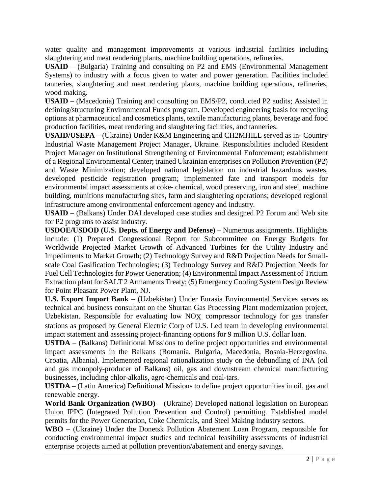water quality and management improvements at various industrial facilities including slaughtering and meat rendering plants, machine building operations, refineries.

**USAID** – (Bulgaria) Training and consulting on P2 and EMS (Environmental Management Systems) to industry with a focus given to water and power generation. Facilities included tanneries, slaughtering and meat rendering plants, machine building operations, refineries, wood making.

**USAID** – (Macedonia) Training and consulting on EMS/P2, conducted P2 audits; Assisted in defining/structuring Environmental Funds program. Developed engineering basis for recycling options at pharmaceutical and cosmetics plants, textile manufacturing plants, beverage and food production facilities, meat rendering and slaughtering facilities, and tanneries.

**USAID/USEPA** – (Ukraine) Under K&M Engineering and CH2MHILL served as in- Country Industrial Waste Management Project Manager, Ukraine. Responsibilities included Resident Project Manager on Institutional Strengthening of Environmental Enforcement; establishment of a Regional Environmental Center; trained Ukrainian enterprises on Pollution Prevention (P2) and Waste Minimization; developed national legislation on industrial hazardous wastes, developed pesticide registration program; implemented fate and transport models for environmental impact assessments at coke- chemical, wood preserving, iron and steel, machine building, munitions manufacturing sites, farm and slaughtering operations; developed regional infrastructure among environmental enforcement agency and industry.

**USAID** – (Balkans) Under DAI developed case studies and designed P2 Forum and Web site for P2 programs to assist industry.

**USDOE/USDOD (U.S. Depts. of Energy and Defense)** – Numerous assignments. Highlights include: (1) Prepared Congressional Report for Subcommittee on Energy Budgets for Worldwide Projected Market Growth of Advanced Turbines for the Utility Industry and Impediments to Market Growth; (2) Technology Survey and R&D Projection Needs for Smallscale Coal Gasification Technologies; (3) Technology Survey and R&D Projection Needs for Fuel Cell Technologies for Power Generation; (4) Environmental Impact Assessment of Tritium Extraction plant for SALT 2 Armaments Treaty; (5) Emergency Cooling System Design Review for Point Pleasant Power Plant, NJ.

**U.S. Export Import Bank** – (Uzbekistan) Under Eurasia Environmental Services serves as technical and business consultant on the Shurtan Gas Processing Plant modernization project, Uzbekistan. Responsible for evaluating low NOX compressor technology for gas transfer stations as proposed by General Electric Corp of U.S. Led team in developing environmental impact statement and assessing project-financing options for 9 million U.S. dollar loan.

**USTDA** – (Balkans) Definitional Missions to define project opportunities and environmental impact assessments in the Balkans (Romania, Bulgaria, Macedonia, Bosnia-Herzegovina, Croatia, Albania). Implemented regional rationalization study on the debundling of INA (oil and gas monopoly-producer of Balkans) oil, gas and downstream chemical manufacturing businesses, including chlor-alkalis, agro-chemicals and coal-tars.

**USTDA** – (Latin America) Definitional Missions to define project opportunities in oil, gas and renewable energy.

**World Bank Organization (WBO)** – (Ukraine) Developed national legislation on European Union IPPC (Integrated Pollution Prevention and Control) permitting. Established model permits for the Power Generation, Coke Chemicals, and Steel Making industry sectors.

**WBO** – (Ukraine) Under the Donetsk Pollution Abatement Loan Program, responsible for conducting environmental impact studies and technical feasibility assessments of industrial enterprise projects aimed at pollution prevention/abatement and energy savings.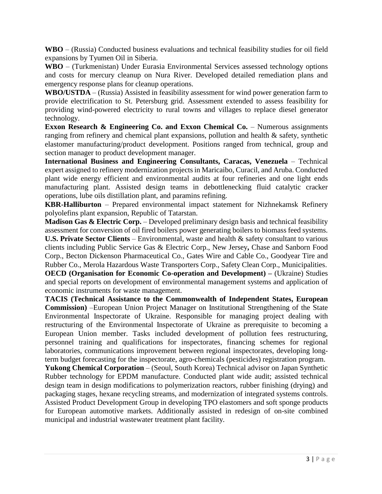**WBO** – (Russia) Conducted business evaluations and technical feasibility studies for oil field expansions by Tyumen Oil in Siberia.

**WBO** – (Turkmenistan) Under Eurasia Environmental Services assessed technology options and costs for mercury cleanup on Nura River. Developed detailed remediation plans and emergency response plans for cleanup operations.

**WBO/USTDA** – (Russia) Assisted in feasibility assessment for wind power generation farm to provide electrification to St. Petersburg grid. Assessment extended to assess feasibility for providing wind-powered electricity to rural towns and villages to replace diesel generator technology.

**Exxon Research & Engineering Co. and Exxon Chemical Co.** – Numerous assignments ranging from refinery and chemical plant expansions, pollution and health & safety, synthetic elastomer manufacturing/product development. Positions ranged from technical, group and section manager to product development manager.

**International Business and Engineering Consultants, Caracas, Venezuela** – Technical expert assigned to refinery modernization projects in Maricaibo, Curacil, and Aruba. Conducted plant wide energy efficient and environmental audits at four refineries and one light ends manufacturing plant. Assisted design teams in debottlenecking fluid catalytic cracker operations, lube oils distillation plant, and paramins refining.

**KBR-Halliburton** – Prepared environmental impact statement for Nizhnekamsk Refinery polyolefins plant expansion, Republic of Tatarstan.

**Madison Gas & Electric Corp.** – Developed preliminary design basis and technical feasibility assessment for conversion of oil fired boilers power generating boilers to biomass feed systems.

**U.S. Private Sector Clients** – Environmental, waste and health & safety consultant to various clients including Public Service Gas & Electric Corp., New Jersey**,** Chase and Sanborn Food Corp., Becton Dickenson Pharmaceutical Co., Gates Wire and Cable Co., Goodyear Tire and Rubber Co., Merola Hazardous Waste Transporters Corp., Safety Clean Corp., Municipalities. **OECD (Organisation for Economic Co-operation and Development) –** (Ukraine) Studies and special reports on development of environmental management systems and application of economic instruments for waste management.

**TACIS (Technical Assistance to the Commonwealth of Independent States, European Commission)** –European Union Project Manager on Institutional Strengthening of the State Environmental Inspectorate of Ukraine. Responsible for managing project dealing with restructuring of the Environmental Inspectorate of Ukraine as prerequisite to becoming a European Union member. Tasks included development of pollution fees restructuring, personnel training and qualifications for inspectorates, financing schemes for regional laboratories, communications improvement between regional inspectorates, developing longterm budget forecasting for the inspectorate, agro-chemicals (pesticides) registration program.

**Yukong Chemical Corporation** – (Seoul, South Korea) Technical advisor on Japan Synthetic Rubber technology for EPDM manufacture. Conducted plant wide audit; assisted technical design team in design modifications to polymerization reactors, rubber finishing (drying) and packaging stages, hexane recycling streams, and modernization of integrated systems controls. Assisted Product Development Group in developing TPO elastomers and soft sponge products for European automotive markets. Additionally assisted in redesign of on-site combined municipal and industrial wastewater treatment plant facility.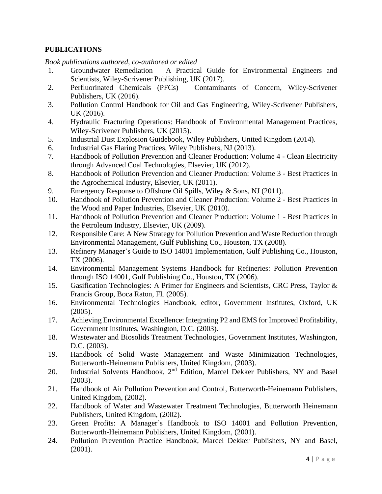## **PUBLICATIONS**

*Book publications authored, co-authored or edited*

- 1. Groundwater Remediation A Practical Guide for Environmental Engineers and Scientists, Wiley-Scrivener Publishing, UK (2017).
- 2. Perfluorinated Chemicals (PFCs) Contaminants of Concern, Wiley-Scrivener Publishers, UK (2016).
- 3. Pollution Control Handbook for Oil and Gas Engineering, Wiley-Scrivener Publishers, UK (2016).
- 4. Hydraulic Fracturing Operations: Handbook of Environmental Management Practices, Wiley-Scrivener Publishers, UK (2015).
- 5. Industrial Dust Explosion Guidebook, Wiley Publishers, United Kingdom (2014).
- 6. Industrial Gas Flaring Practices, Wiley Publishers, NJ (2013).
- 7. Handbook of Pollution Prevention and Cleaner Production: Volume 4 Clean Electricity through Advanced Coal Technologies, Elsevier, UK (2012).
- 8. Handbook of Pollution Prevention and Cleaner Production: Volume 3 Best Practices in the Agrochemical Industry, Elsevier, UK (2011).
- 9. Emergency Response to Offshore Oil Spills, Wiley & Sons, NJ (2011).
- 10. Handbook of Pollution Prevention and Cleaner Production: Volume 2 Best Practices in the Wood and Paper Industries, Elsevier, UK (2010).
- 11. Handbook of Pollution Prevention and Cleaner Production: Volume 1 Best Practices in the Petroleum Industry, Elsevier, UK (2009).
- 12. Responsible Care: A New Strategy for Pollution Prevention and Waste Reduction through Environmental Management, Gulf Publishing Co., Houston, TX (2008).
- 13. Refinery Manager's Guide to ISO 14001 Implementation, Gulf Publishing Co., Houston, TX (2006).
- 14. Environmental Management Systems Handbook for Refineries: Pollution Prevention through ISO 14001, Gulf Publishing Co., Houston, TX (2006).
- 15. Gasification Technologies: A Primer for Engineers and Scientists, CRC Press, Taylor & Francis Group, Boca Raton, FL (2005).
- 16. Environmental Technologies Handbook, editor, Government Institutes, Oxford, UK (2005).
- 17. Achieving Environmental Excellence: Integrating P2 and EMS for Improved Profitability, Government Institutes, Washington, D.C. (2003).
- 18. Wastewater and Biosolids Treatment Technologies, Government Institutes, Washington, D.C. (2003).
- 19. Handbook of Solid Waste Management and Waste Minimization Technologies, Butterworth-Heinemann Publishers, United Kingdom, (2003).
- 20. Industrial Solvents Handbook, 2<sup>nd</sup> Edition, Marcel Dekker Publishers, NY and Basel (2003).
- 21. Handbook of Air Pollution Prevention and Control, Butterworth-Heinemann Publishers, United Kingdom, (2002).
- 22. Handbook of Water and Wastewater Treatment Technologies, Butterworth Heinemann Publishers, United Kingdom, (2002).
- 23. Green Profits: A Manager's Handbook to ISO 14001 and Pollution Prevention, Butterworth-Heinemann Publishers, United Kingdom, (2001).
- 24. Pollution Prevention Practice Handbook, Marcel Dekker Publishers, NY and Basel, (2001).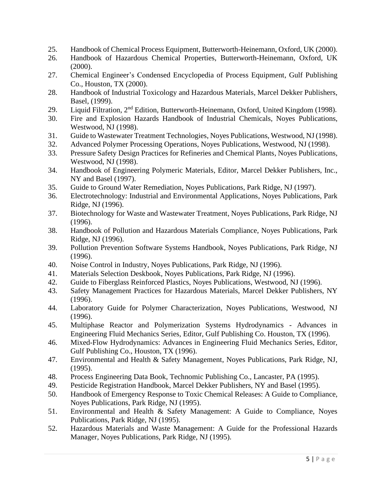- 25. Handbook of Chemical Process Equipment, Butterworth-Heinemann, Oxford, UK (2000).
- 26. Handbook of Hazardous Chemical Properties, Butterworth-Heinemann, Oxford, UK (2000).
- 27. Chemical Engineer's Condensed Encyclopedia of Process Equipment, Gulf Publishing Co., Houston, TX (2000).
- 28. Handbook of Industrial Toxicology and Hazardous Materials, Marcel Dekker Publishers, Basel, (1999).
- 29. Liquid Filtration, 2<sup>nd</sup> Edition, Butterworth-Heinemann, Oxford, United Kingdom (1998).
- 30. Fire and Explosion Hazards Handbook of Industrial Chemicals, Noyes Publications, Westwood, NJ (1998).
- 31. Guide to Wastewater Treatment Technologies, Noyes Publications, Westwood, NJ(1998).
- 32. Advanced Polymer Processing Operations, Noyes Publications, Westwood, NJ (1998).
- 33. Pressure Safety Design Practices for Refineries and Chemical Plants, Noyes Publications, Westwood, NJ (1998).
- 34. Handbook of Engineering Polymeric Materials, Editor, Marcel Dekker Publishers, Inc., NY and Basel (1997).
- 35. Guide to Ground Water Remediation, Noyes Publications, Park Ridge, NJ (1997).
- 36. Electrotechnology: Industrial and Environmental Applications, Noyes Publications, Park Ridge, NJ (1996).
- 37. Biotechnology for Waste and Wastewater Treatment, Noyes Publications, Park Ridge, NJ (1996).
- 38. Handbook of Pollution and Hazardous Materials Compliance, Noyes Publications, Park Ridge, NJ (1996).
- 39. Pollution Prevention Software Systems Handbook, Noyes Publications, Park Ridge, NJ (1996).
- 40. Noise Control in Industry, Noyes Publications, Park Ridge, NJ (1996).
- 41. Materials Selection Deskbook, Noyes Publications, Park Ridge, NJ (1996).
- 42. Guide to Fiberglass Reinforced Plastics, Noyes Publications, Westwood, NJ (1996).
- 43. Safety Management Practices for Hazardous Materials, Marcel Dekker Publishers, NY (1996).
- 44. Laboratory Guide for Polymer Characterization, Noyes Publications, Westwood, NJ (1996).
- 45. Multiphase Reactor and Polymerization Systems Hydrodynamics Advances in Engineering Fluid Mechanics Series, Editor, Gulf Publishing Co. Houston, TX (1996).
- 46. Mixed-Flow Hydrodynamics: Advances in Engineering Fluid Mechanics Series, Editor, Gulf Publishing Co., Houston, TX (1996).
- 47. Environmental and Health & Safety Management, Noyes Publications, Park Ridge, NJ, (1995).
- 48. Process Engineering Data Book, Technomic Publishing Co., Lancaster, PA (1995).
- 49. Pesticide Registration Handbook, Marcel Dekker Publishers, NY and Basel (1995).
- 50. Handbook of Emergency Response to Toxic Chemical Releases: A Guide to Compliance, Noyes Publications, Park Ridge, NJ (1995).
- 51. Environmental and Health & Safety Management: A Guide to Compliance, Noyes Publications, Park Ridge, NJ (1995).
- 52. Hazardous Materials and Waste Management: A Guide for the Professional Hazards Manager, Noyes Publications, Park Ridge, NJ (1995).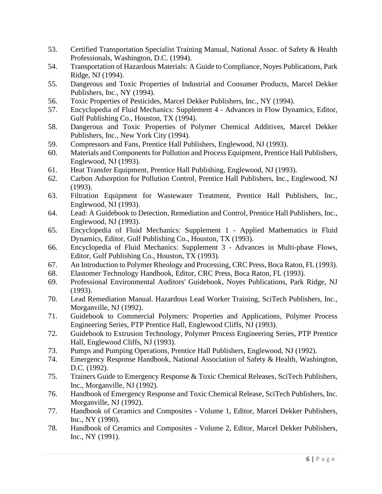- 53. Certified Transportation Specialist Training Manual, National Assoc. of Safety & Health Professionals, Washington, D.C. (1994).
- 54. Transportation of Hazardous Materials: A Guide to Compliance, Noyes Publications, Park Ridge, NJ (1994).
- 55. Dangerous and Toxic Properties of Industrial and Consumer Products, Marcel Dekker Publishers, Inc., NY (1994).
- 56. Toxic Properties of Pesticides, Marcel Dekker Publishers, Inc., NY (1994).
- 57. Encyclopedia of Fluid Mechanics: Supplement 4 Advances in Flow Dynamics, Editor, Gulf Publishing Co., Houston, TX (1994).
- 58. Dangerous and Toxic Properties of Polymer Chemical Additives, Marcel Dekker Publishers, Inc., New York City (1994).
- 59. Compressors and Fans, Prentice Hall Publishers, Englewood, NJ (1993).
- 60. Materials and Components for Pollution and Process Equipment, Prentice Hall Publishers, Englewood, NJ (1993).
- 61. Heat Transfer Equipment, Prentice Hall Publishing, Englewood, NJ (1993).
- 62. Carbon Adsorption for Pollution Control, Prentice Hall Publishers, Inc., Englewood, NJ (1993).
- 63. Filtration Equipment for Wastewater Treatment, Prentice Hall Publishers, Inc., Englewood, NJ (1993).
- 64. Lead: A Guidebook to Detection, Remediation and Control, Prentice Hall Publishers, Inc., Englewood, NJ (1993).
- 65. Encyclopedia of Fluid Mechanics: Supplement 1 Applied Mathematics in Fluid Dynamics, Editor, Gulf Publishing Co., Houston, TX (1993).
- 66. Encyclopedia of Fluid Mechanics: Supplement 3 Advances in Multi-phase Flows, Editor, Gulf Publishing Co., Houston, TX (1993).
- 67. An Introduction to Polymer Rheology and Processing, CRC Press, Boca Raton, FL (1993).
- 68. Elastomer Technology Handbook, Editor, CRC Press, Boca Raton, FL (1993).
- 69. Professional Environmental Auditors' Guidebook, Noyes Publications, Park Ridge, NJ (1993).
- 70. Lead Remediation Manual. Hazardous Lead Worker Training, SciTech Publishers, Inc., Morganville, NJ (1992).
- 71. Guidebook to Commercial Polymers: Properties and Applications, Polymer Process Engineering Series, PTP Prentice Hall, Englewood Cliffs, NJ (1993).
- 72. Guidebook to Extrusion Technology, Polymer Process Engineering Series, PTP Prentice Hall, Englewood Cliffs, NJ (1993).
- 73. Pumps and Pumping Operations, Prentice Hall Publishers, Englewood, NJ (1992).
- 74. Emergency Response Handbook, National Association of Safety & Health, Washington, D.C. (1992).
- 75. Trainers Guide to Emergency Response & Toxic Chemical Releases, SciTech Publishers, Inc., Morganville, NJ (1992).
- 76. Handbook of Emergency Response and Toxic Chemical Release, SciTech Publishers, Inc. Morganville, NJ (1992).
- 77. Handbook of Ceramics and Composites Volume 1, Editor, Marcel Dekker Publishers, Inc., NY (1990).
- 78. Handbook of Ceramics and Composites Volume 2, Editor, Marcel Dekker Publishers, Inc., NY (1991).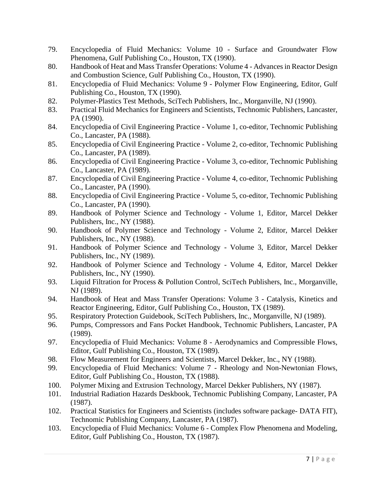- 79. Encyclopedia of Fluid Mechanics: Volume 10 Surface and Groundwater Flow Phenomena, Gulf Publishing Co., Houston, TX (1990).
- 80. Handbook of Heat and Mass Transfer Operations: Volume 4 Advances in Reactor Design and Combustion Science, Gulf Publishing Co., Houston, TX (1990).
- 81. Encyclopedia of Fluid Mechanics: Volume 9 Polymer Flow Engineering, Editor, Gulf Publishing Co., Houston, TX (1990).
- 82. Polymer-Plastics Test Methods, SciTech Publishers, Inc., Morganville, NJ (1990).
- 83. Practical Fluid Mechanics for Engineers and Scientists, Technomic Publishers, Lancaster, PA (1990).
- 84. Encyclopedia of Civil Engineering Practice Volume 1, co-editor, Technomic Publishing Co., Lancaster, PA (1988).
- 85. Encyclopedia of Civil Engineering Practice Volume 2, co-editor, Technomic Publishing Co., Lancaster, PA (1989).
- 86. Encyclopedia of Civil Engineering Practice Volume 3, co-editor, Technomic Publishing Co., Lancaster, PA (1989).
- 87. Encyclopedia of Civil Engineering Practice Volume 4, co-editor, Technomic Publishing Co., Lancaster, PA (1990).
- 88. Encyclopedia of Civil Engineering Practice Volume 5, co-editor, Technomic Publishing Co., Lancaster, PA (1990).
- 89. Handbook of Polymer Science and Technology Volume 1, Editor, Marcel Dekker Publishers, Inc., NY (1988).
- 90. Handbook of Polymer Science and Technology Volume 2, Editor, Marcel Dekker Publishers, Inc., NY (1988).
- 91. Handbook of Polymer Science and Technology Volume 3, Editor, Marcel Dekker Publishers, Inc., NY (1989).
- 92. Handbook of Polymer Science and Technology Volume 4, Editor, Marcel Dekker Publishers, Inc., NY (1990).
- 93. Liquid Filtration for Process & Pollution Control, SciTech Publishers, Inc., Morganville, NJ (1989).
- 94. Handbook of Heat and Mass Transfer Operations: Volume 3 Catalysis, Kinetics and Reactor Engineering, Editor, Gulf Publishing Co., Houston, TX (1989).
- 95. Respiratory Protection Guidebook, SciTech Publishers, Inc., Morganville, NJ (1989).
- 96. Pumps, Compressors and Fans Pocket Handbook, Technomic Publishers, Lancaster, PA (1989).
- 97. Encyclopedia of Fluid Mechanics: Volume 8 Aerodynamics and Compressible Flows, Editor, Gulf Publishing Co., Houston, TX (1989).
- 98. Flow Measurement for Engineers and Scientists, Marcel Dekker, Inc., NY (1988).
- 99. Encyclopedia of Fluid Mechanics: Volume 7 Rheology and Non-Newtonian Flows, Editor, Gulf Publishing Co., Houston, TX (1988).
- 100. Polymer Mixing and Extrusion Technology, Marcel Dekker Publishers, NY (1987).
- 101. Industrial Radiation Hazards Deskbook, Technomic Publishing Company, Lancaster, PA (1987).
- 102. Practical Statistics for Engineers and Scientists (includes software package- DATA FIT), Technomic Publishing Company, Lancaster, PA (1987).
- 103. Encyclopedia of Fluid Mechanics: Volume 6 Complex Flow Phenomena and Modeling, Editor, Gulf Publishing Co., Houston, TX (1987).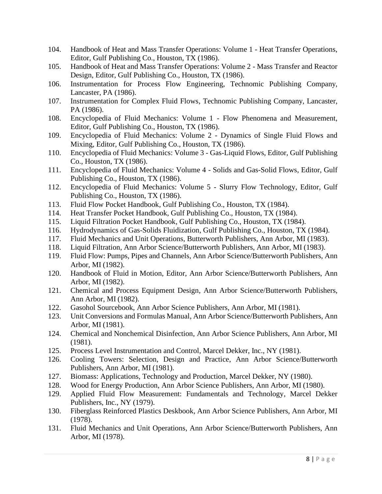- 104. Handbook of Heat and Mass Transfer Operations: Volume 1 Heat Transfer Operations, Editor, Gulf Publishing Co., Houston, TX (1986).
- 105. Handbook of Heat and Mass Transfer Operations: Volume 2 Mass Transfer and Reactor Design, Editor, Gulf Publishing Co., Houston, TX (1986).
- 106. Instrumentation for Process Flow Engineering, Technomic Publishing Company, Lancaster, PA (1986).
- 107. Instrumentation for Complex Fluid Flows, Technomic Publishing Company, Lancaster, PA (1986).
- 108. Encyclopedia of Fluid Mechanics: Volume 1 Flow Phenomena and Measurement, Editor, Gulf Publishing Co., Houston, TX (1986).
- 109. Encyclopedia of Fluid Mechanics: Volume 2 Dynamics of Single Fluid Flows and Mixing, Editor, Gulf Publishing Co., Houston, TX (1986).
- 110. Encyclopedia of Fluid Mechanics: Volume 3 Gas-Liquid Flows, Editor, Gulf Publishing Co., Houston, TX (1986).
- 111. Encyclopedia of Fluid Mechanics: Volume 4 Solids and Gas-Solid Flows, Editor, Gulf Publishing Co., Houston, TX (1986).
- 112. Encyclopedia of Fluid Mechanics: Volume 5 Slurry Flow Technology, Editor, Gulf Publishing Co., Houston, TX (1986).
- 113. Fluid Flow Pocket Handbook, Gulf Publishing Co., Houston, TX (1984).
- 114. Heat Transfer Pocket Handbook, Gulf Publishing Co., Houston, TX (1984).
- 115. Liquid Filtration Pocket Handbook, Gulf Publishing Co., Houston, TX (1984).
- 116. Hydrodynamics of Gas-Solids Fluidization, Gulf Publishing Co., Houston, TX (1984).
- 117. Fluid Mechanics and Unit Operations, Butterworth Publishers, Ann Arbor, MI (1983).
- 118. Liquid Filtration, Ann Arbor Science/Butterworth Publishers, Ann Arbor, MI (1983).
- 119. Fluid Flow: Pumps, Pipes and Channels, Ann Arbor Science/Butterworth Publishers, Ann Arbor, MI (1982).
- 120. Handbook of Fluid in Motion, Editor, Ann Arbor Science/Butterworth Publishers, Ann Arbor, MI (1982).
- 121. Chemical and Process Equipment Design, Ann Arbor Science/Butterworth Publishers, Ann Arbor, MI (1982).
- 122. Gasohol Sourcebook, Ann Arbor Science Publishers, Ann Arbor, MI (1981).
- 123. Unit Conversions and Formulas Manual, Ann Arbor Science/Butterworth Publishers, Ann Arbor, MI (1981).
- 124. Chemical and Nonchemical Disinfection, Ann Arbor Science Publishers, Ann Arbor, MI (1981).
- 125. Process Level Instrumentation and Control, Marcel Dekker, Inc., NY (1981).
- 126. Cooling Towers: Selection, Design and Practice, Ann Arbor Science/Butterworth Publishers, Ann Arbor, MI (1981).
- 127. Biomass: Applications, Technology and Production, Marcel Dekker, NY (1980).
- 128. Wood for Energy Production, Ann Arbor Science Publishers, Ann Arbor, MI (1980).
- 129. Applied Fluid Flow Measurement: Fundamentals and Technology, Marcel Dekker Publishers, Inc., NY (1979).
- 130. Fiberglass Reinforced Plastics Deskbook, Ann Arbor Science Publishers, Ann Arbor, MI (1978).
- 131. Fluid Mechanics and Unit Operations, Ann Arbor Science/Butterworth Publishers, Ann Arbor, MI (1978).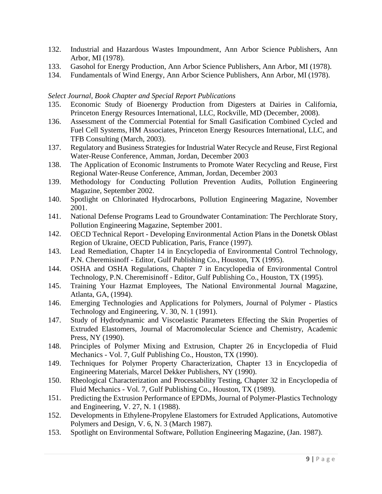- 132. Industrial and Hazardous Wastes Impoundment, Ann Arbor Science Publishers, Ann Arbor, MI (1978).
- 133. Gasohol for Energy Production, Ann Arbor Science Publishers, Ann Arbor, MI (1978).
- 134. Fundamentals of Wind Energy, Ann Arbor Science Publishers, Ann Arbor, MI (1978).

#### *Select Journal, Book Chapter and Special Report Publications*

- 135. Economic Study of Bioenergy Production from Digesters at Dairies in California, Princeton Energy Resources International, LLC, Rockville, MD (December, 2008).
- 136. Assessment of the Commercial Potential for Small Gasification Combined Cycled and Fuel Cell Systems, HM Associates, Princeton Energy Resources International, LLC, and TFB Consulting (March, 2003).
- 137. Regulatory and Business Strategies for Industrial Water Recycle and Reuse, First Regional Water-Reuse Conference, Amman, Jordan, December 2003
- 138. The Application of Economic Instruments to Promote Water Recycling and Reuse, First Regional Water-Reuse Conference, Amman, Jordan, December 2003
- 139. Methodology for Conducting Pollution Prevention Audits, Pollution Engineering Magazine, September 2002.
- 140. Spotlight on Chlorinated Hydrocarbons, Pollution Engineering Magazine, November 2001.
- 141. National Defense Programs Lead to Groundwater Contamination: The Perchlorate Story, Pollution Engineering Magazine, September 2001.
- 142. OECD Technical Report Developing Environmental Action Plans in the Donetsk Oblast Region of Ukraine, OECD Publication, Paris, France (1997).
- 143. Lead Remediation, Chapter 14 in Encyclopedia of Environmental Control Technology, P.N. Cheremisinoff - Editor, Gulf Publishing Co., Houston, TX (1995).
- 144. OSHA and OSHA Regulations, Chapter 7 in Encyclopedia of Environmental Control Technology, P.N. Cheremisinoff - Editor, Gulf Publishing Co., Houston, TX (1995).
- 145. Training Your Hazmat Employees, The National Environmental Journal Magazine, Atlanta, GA, (1994).
- 146. Emerging Technologies and Applications for Polymers, Journal of Polymer Plastics Technology and Engineering, V. 30, N. 1 (1991).
- 147. Study of Hydrodynamic and Viscoelastic Parameters Effecting the Skin Properties of Extruded Elastomers, Journal of Macromolecular Science and Chemistry, Academic Press, NY (1990).
- 148. Principles of Polymer Mixing and Extrusion, Chapter 26 in Encyclopedia of Fluid Mechanics - Vol. 7, Gulf Publishing Co., Houston, TX (1990).
- 149. Techniques for Polymer Property Characterization, Chapter 13 in Encyclopedia of Engineering Materials, Marcel Dekker Publishers, NY (1990).
- 150. Rheological Characterization and Processability Testing, Chapter 32 in Encyclopedia of Fluid Mechanics - Vol. 7, Gulf Publishing Co., Houston, TX (1989).
- 151. Predicting the Extrusion Performance of EPDMs, Journal of Polymer-Plastics Technology and Engineering, V. 27, N. 1 (1988).
- 152. Developments in Ethylene-Propylene Elastomers for Extruded Applications, Automotive Polymers and Design, V. 6, N. 3 (March 1987).
- 153. Spotlight on Environmental Software, Pollution Engineering Magazine, (Jan. 1987).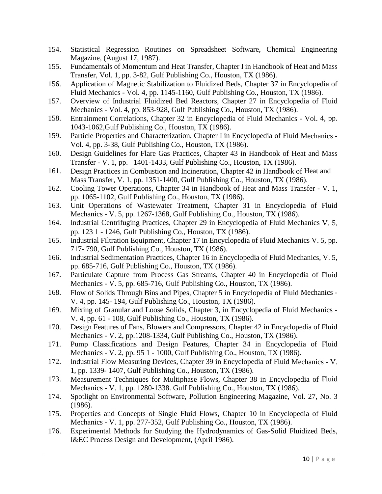- 154. Statistical Regression Routines on Spreadsheet Software, Chemical Engineering Magazine, (August 17, 1987).
- 155. Fundamentals of Momentum and Heat Transfer, Chapter I in Handbook of Heat and Mass Transfer, Vol. 1, pp. 3-82, Gulf Publishing Co., Houston, TX (1986).
- 156. Application of Magnetic Stabilization to Fluidized Beds, Chapter 37 in Encyclopedia of Fluid Mechanics - Vol. 4, pp. 1145-1160, Gulf Publishing Co., Houston, TX (1986).
- 157. Overview of Industrial Fluidized Bed Reactors, Chapter 27 in Encyclopedia of Fluid Mechanics - Vol. 4, pp. 853-928, Gulf Publishing Co., Houston, TX (1986).
- 158. Entrainment Correlations, Chapter 32 in Encyclopedia of Fluid Mechanics Vol. 4, pp. 1043-1062,Gulf Publishing Co., Houston, TX (1986).
- 159. Particle Properties and Characterization, Chapter I in Encyclopedia of Fluid Mechanics Vol. 4, pp. 3-38, Gulf Publishing Co., Houston, TX (1986).
- 160. Design Guidelines for Flare Gas Practices, Chapter 43 in Handbook of Heat and Mass Transfer - V. 1, pp. 1401-1433, Gulf Publishing Co., Houston, TX (1986).
- 161. Design Practices in Combustion and Incineration, Chapter 42 in Handbook of Heat and Mass Transfer, V. 1, pp. 1351-1400, Gulf Publishing Co., Houston, TX (1986).
- 162. Cooling Tower Operations, Chapter 34 in Handbook of Heat and Mass Transfer V. 1, pp. 1065-1102, Gulf Publishing Co., Houston, TX (1986).
- 163. Unit Operations of Wastewater Treatment, Chapter 31 in Encyclopedia of Fluid Mechanics - V. 5, pp. 1267-1368, Gulf Publishing Co., Houston, TX (1986).
- 164. Industrial Centrifuging Practices, Chapter 29 in Encyclopedia of Fluid Mechanics V. 5, pp. 123 1 - 1246, Gulf Publishing Co., Houston, TX (1986).
- 165. Industrial Filtration Equipment, Chapter 17 in Encyclopedia of Fluid Mechanics V. 5, pp. 717- 790, Gulf Publishing Co., Houston, TX (1986).
- 166. Industrial Sedimentation Practices, Chapter 16 in Encyclopedia of Fluid Mechanics, V. 5, pp. 685-716, Gulf Publishing Co., Houston, TX (1986).
- 167. Particulate Capture from Process Gas Streams, Chapter 40 in Encyclopedia of Fluid Mechanics - V. 5, pp. 685-716, Gulf Publishing Co., Houston, TX (1986).
- 168. Flow of Solids Through Bins and Pipes, Chapter 5 in Encyclopedia of Fluid Mechanics V. 4, pp. 145- 194, Gulf Publishing Co., Houston, TX (1986).
- 169. Mixing of Granular and Loose Solids, Chapter 3, in Encyclopedia of Fluid Mechanics V. 4, pp. 61 - 108, Gulf Publishing Co., Houston, TX (1986).
- 170. Design Features of Fans, Blowers and Compressors, Chapter 42 in Encyclopedia of Fluid Mechanics - V. 2, pp.1208-1334, Gulf Publishing Co., Houston, TX (1986).
- 171. Pump Classifications and Design Features, Chapter 34 in Encyclopedia of Fluid Mechanics - V. 2, pp. 95 1 - 1000, Gulf Publishing Co., Houston, TX (1986).
- 172. Industrial Flow Measuring Devices, Chapter 39 in Encyclopedia of Fluid Mechanics V. 1, pp. 1339- 1407, Gulf Publishing Co., Houston, TX (1986).
- 173. Measurement Techniques for Multiphase Flows, Chapter 38 in Encyclopedia of Fluid Mechanics - V. 1, pp. 1280-1338. Gulf Publishing Co., Houston, TX (1986).
- 174. Spotlight on Environmental Software, Pollution Engineering Magazine, Vol. 27, No. 3 (1986).
- 175. Properties and Concepts of Single Fluid Flows, Chapter 10 in Encyclopedia of Fluid Mechanics - V. 1, pp. 277-352, Gulf Publishing Co., Houston, TX (1986).
- 176. Experimental Methods for Studying the Hydrodynamics of Gas-Solid Fluidized Beds, I&EC Process Design and Development, (April 1986).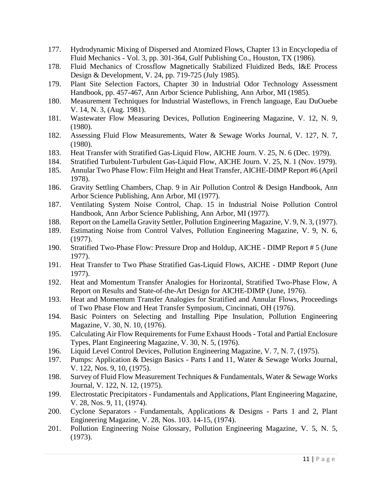- 177. Hydrodynamic Mixing of Dispersed and Atomized Flows, Chapter 13 in Encyclopedia of Fluid Mechanics - Vol. 3, pp. 301-364, Gulf Publishing Co., Houston, TX (1986).
- 178. Fluid Mechanics of Crossflow Magnetically Stabilized Fluidized Beds, I&E Process Design & Development, V. 24, pp. 719-725 (July 1985).
- 179. Plant Site Selection Factors, Chapter 30 in Industrial Odor Technology Assessment Handbook, pp. 457-467, Ann Arbor Science Publishing, Ann Arbor, MI (1985).
- 180. Measurement Techniques for Industrial Wasteflows, in French language, Eau DuOuebe V. 14, N. 3, (Aug. 1981).
- 181. Wastewater Flow Measuring Devices, Pollution Engineering Magazine, V. 12, N. 9, (1980).
- 182. Assessing Fluid Flow Measurements, Water & Sewage Works Journal, V. 127, N. 7, (1980).
- 183. Heat Transfer with Stratified Gas-Liquid Flow, AICHE Journ. V. 25, N. 6 (Dec. 1979).
- 184. Stratified Turbulent-Turbulent Gas-Liquid Flow, AICHE Journ. V. 25, N. 1 (Nov. 1979).
- 185. Annular Two Phase Flow: Film Height and Heat Transfer, AICHE-DIMP Report #6 (April 1978).
- 186. Gravity Settling Chambers, Chap. 9 in Air Pollution Control & Design Handbook, Ann Arbor Science Publishing, Ann Arbor, MI (1977).
- 187. Ventilating System Noise Control, Chap. 15 in Industrial Noise Pollution Control Handbook, Ann Arbor Science Publishing, Ann Arbor, MI (1977).
- 188. Report on the Lamella Gravity Settler, Pollution Engineering Magazine, V. 9, N. 3, (1977).
- 189. Estimating Noise from Control Valves, Pollution Engineering Magazine, V. 9, N. 6, (1977).
- 190. Stratified Two-Phase Flow: Pressure Drop and Holdup, AICHE DIMP Report # 5 (June 1977).
- 191. Heat Transfer to Two Phase Stratified Gas-Liquid Flows, AICHE DIMP Report (June 1977).
- 192. Heat and Momentum Transfer Analogies for Horizontal, Stratified Two-Phase Flow, A Report on Results and State-of-the-Art Design for AICHE-DIMP (June, 1976).
- 193. Heat and Momentum Transfer Analogies for Stratified and Annular Flows, Proceedings of Two Phase Flow and Heat Transfer Symposium, Cincinnati, OH (1976).
- 194. Basic Pointers on Selecting and Installing Pipe Insulation, Pollution Engineering Magazine, V. 30, N. 10, (1976).
- 195. Calculating Air Flow Requirements for Fume Exhaust Hoods Total and Partial Enclosure Types, Plant Engineering Magazine, V. 30, N. 5, (1976).
- 196. Liquid Level Control Devices, Pollution Engineering Magazine, V. 7, N. 7, (1975).
- 197. Pumps: Application & Design Basics Parts I and 11, Water & Sewage Works Journal, V. 122, Nos. 9, 10, (1975).
- 198. Survey of Fluid Flow Measurement Techniques & Fundamentals, Water & Sewage Works Journal, V. 122, N. 12, (1975).
- 199. Electrostatic Precipitators Fundamentals and Applications, Plant Engineering Magazine, V. 28, Nos. 9, 11, (1974).
- 200. Cyclone Separators Fundamentals, Applications & Designs Parts 1 and 2, Plant Engineering Magazine, V. 28, Nos. 103. 14-15, (1974).
- 201. Pollution Engineering Noise Glossary, Pollution Engineering Magazine, V. 5, N. 5, (1973).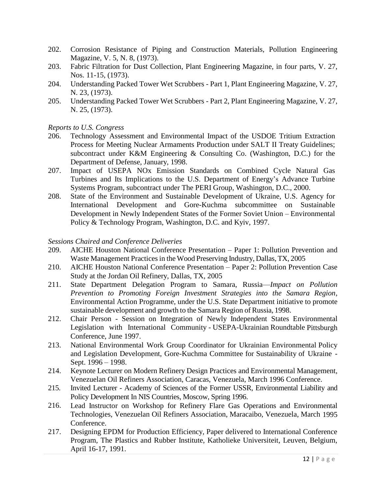- 202. Corrosion Resistance of Piping and Construction Materials, Pollution Engineering Magazine, V. 5, N. 8, (1973).
- 203. Fabric Filtration for Dust Collection, Plant Engineering Magazine, in four parts, V. 27, Nos. 11-15, (1973).
- 204. Understanding Packed Tower Wet Scrubbers Part 1, Plant Engineering Magazine, V. 27, N. 23, (1973).
- 205. Understanding Packed Tower Wet Scrubbers Part 2, Plant Engineering Magazine, V. 27, N. 25, (1973).

#### *Reports to U.S. Congress*

- 206. Technology Assessment and Environmental Impact of the USDOE Tritium Extraction Process for Meeting Nuclear Armaments Production under SALT II Treaty Guidelines; subcontract under K&M Engineering & Consulting Co. (Washington, D.C.) for the Department of Defense, January, 1998.
- 207. Impact of USEPA NOx Emission Standards on Combined Cycle Natural Gas Turbines and Its Implications to the U.S. Department of Energy's Advance Turbine Systems Program, subcontract under The PERI Group, Washington, D.C., 2000.
- 208. State of the Environment and Sustainable Development of Ukraine, U.S. Agency for International Development and Gore-Kuchma subcommittee on Sustainable Development in Newly Independent States of the Former Soviet Union – Environmental Policy & Technology Program, Washington, D.C. and Kyiv, 1997.

#### *Sessions Chaired and Conference Deliveries*

- 209. AICHE Houston National Conference Presentation Paper 1: Pollution Prevention and Waste Management Practices in the Wood Preserving Industry, Dallas, TX, 2005
- 210. AICHE Houston National Conference Presentation Paper 2: Pollution Prevention Case Study at the Jordan Oil Refinery, Dallas, TX, 2005
- 211. State Department Delegation Program to Samara, Russia—*Impact on Pollution Prevention to Promoting Foreign Investment Strategies into the Samara Region*, Environmental Action Programme, under the U.S. State Department initiative to promote sustainable development and growth to the Samara Region of Russia, 1998.
- 212. Chair Person Session on Integration of Newly Independent States Environmental Legislation with International Community - USEPA-Ukrainian Roundtable Pittsburgh Conference, June 1997.
- 213. National Environmental Work Group Coordinator for Ukrainian Environmental Policy and Legislation Development, Gore-Kuchma Committee for Sustainability of Ukraine - Sept. 1996 – 1998.
- 214. Keynote Lecturer on Modern Refinery Design Practices and Environmental Management, Venezuelan Oil Refiners Association, Caracas, Venezuela, March 1996 Conference.
- 215. Invited Lecturer Academy of Sciences of the Former USSR, Environmental Liability and Policy Development In NIS Countries, Moscow, Spring 1996.
- 216. Lead Instructor on Workshop for Refinery Flare Gas Operations and Environmental Technologies, Venezuelan Oil Refiners Association, Maracaibo, Venezuela, March 1995 Conference.
- 217. Designing EPDM for Production Efficiency, Paper delivered to International Conference Program, The Plastics and Rubber Institute, Katholieke Universiteit, Leuven, Belgium, April 16-17, 1991.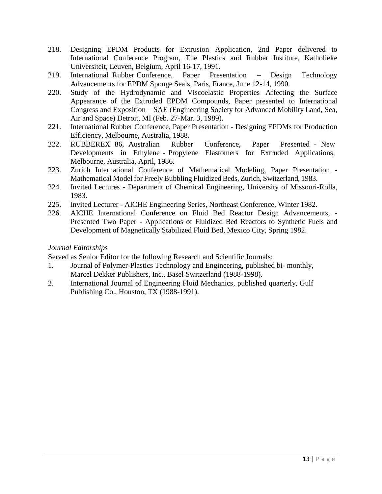- 218. Designing EPDM Products for Extrusion Application, 2nd Paper delivered to International Conference Program, The Plastics and Rubber Institute, Katholieke Universiteit, Leuven, Belgium, April 16-17, 1991.
- 219. International Rubber Conference, Paper Presentation Design Technology Advancements for EPDM Sponge Seals, Paris, France, June 12-14, 1990.
- 220. Study of the Hydrodynamic and Viscoelastic Properties Affecting the Surface Appearance of the Extruded EPDM Compounds, Paper presented to International Congress and Exposition – SAE (Engineering Society for Advanced Mobility Land, Sea, Air and Space) Detroit, MI (Feb. 27-Mar. 3, 1989).
- 221. International Rubber Conference, Paper Presentation Designing EPDMs for Production Efficiency, Melbourne, Australia, 1988.
- 222. RUBBEREX 86, Australian Rubber Conference, Paper Presented New Developments in Ethylene - Propylene Elastomers for Extruded Applications, Melbourne, Australia, April, 1986.
- 223. Zurich International Conference of Mathematical Modeling, Paper Presentation Mathematical Model for Freely Bubbling Fluidized Beds, Zurich, Switzerland, 1983.
- 224. Invited Lectures Department of Chemical Engineering, University of Missouri-Rolla, 1983.
- 225. Invited Lecturer AICHE Engineering Series, Northeast Conference, Winter 1982.
- 226. AICHE International Conference on Fluid Bed Reactor Design Advancements, Presented Two Paper - Applications of Fluidized Bed Reactors to Synthetic Fuels and Development of Magnetically Stabilized Fluid Bed, Mexico City, Spring 1982.

### *Journal Editorships*

Served as Senior Editor for the following Research and Scientific Journals:

- 1. Journal of Polymer-Plastics Technology and Engineering, published bi- monthly, Marcel Dekker Publishers, Inc., Basel Switzerland (1988-1998).
- 2. International Journal of Engineering Fluid Mechanics, published quarterly, Gulf Publishing Co., Houston, TX (1988-1991).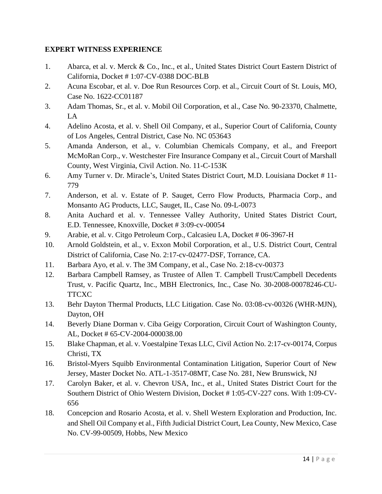# **EXPERT WITNESS EXPERIENCE**

- 1. Abarca, et al. v. Merck & Co., Inc., et al., United States District Court Eastern District of California, Docket # 1:07-CV-0388 DOC-BLB
- 2. Acuna Escobar, et al. v. Doe Run Resources Corp. et al., Circuit Court of St. Louis, MO, Case No. 1622-CC01187
- 3. Adam Thomas, Sr., et al. v. Mobil Oil Corporation, et al., Case No. 90-23370, Chalmette, LA
- 4. Adelino Acosta, et al. v. Shell Oil Company, et al., Superior Court of California, County of Los Angeles, Central District, Case No. NC 053643
- 5. Amanda Anderson, et al., v. Columbian Chemicals Company, et al., and Freeport McMoRan Corp., v. Westchester Fire Insurance Company et al., Circuit Court of Marshall County, West Virginia, Civil Action. No. 11-C-153K
- 6. Amy Turner v. Dr. Miracle's, United States District Court, M.D. Louisiana Docket # 11- 779
- 7. Anderson, et al. v. Estate of P. Sauget, Cerro Flow Products, Pharmacia Corp., and Monsanto AG Products, LLC, Sauget, IL, Case No. 09-L-0073
- 8. Anita Auchard et al. v. Tennessee Valley Authority, United States District Court, E.D. Tennessee, Knoxville, Docket # 3:09-cv-00054
- 9. Arabie, et al. v. Citgo Petroleum Corp., Calcasieu LA, Docket # 06-3967-H
- 10. Arnold Goldstein, et al., v. Exxon Mobil Corporation, et al., U.S. District Court, Central District of California, Case No. 2:17-cv-02477-DSF, Torrance, CA.
- 11. Barbara Ayo, et al. v. The 3M Company, et al., Case No. 2:18-cv-00373
- 12. Barbara Campbell Ramsey, as Trustee of Allen T. Campbell Trust/Campbell Decedents Trust, v. Pacific Quartz, Inc., MBH Electronics, Inc., Case No. 30-2008-00078246-CU-**TTCXC**
- 13. Behr Dayton Thermal Products, LLC Litigation. Case No. 03:08-cv-00326 (WHR-MJN), Dayton, OH
- 14. Beverly Diane Dorman v. Ciba Geigy Corporation, Circuit Court of Washington County, AL, Docket # 65-CV-2004-000038.00
- 15. Blake Chapman, et al. v. Voestalpine Texas LLC, Civil Action No. 2:17-cv-00174, Corpus Christi, TX
- 16. Bristol-Myers Squibb Environmental Contamination Litigation, Superior Court of New Jersey, Master Docket No. ATL-1-3517-08MT, Case No. 281, New Brunswick, NJ
- 17. Carolyn Baker, et al. v. Chevron USA, Inc., et al., United States District Court for the Southern District of Ohio Western Division, Docket # 1:05-CV-227 cons. With 1:09-CV-656
- 18. Concepcion and Rosario Acosta, et al. v. Shell Western Exploration and Production, Inc. and Shell Oil Company et al., Fifth Judicial District Court, Lea County, New Mexico, Case No. CV-99-00509, Hobbs, New Mexico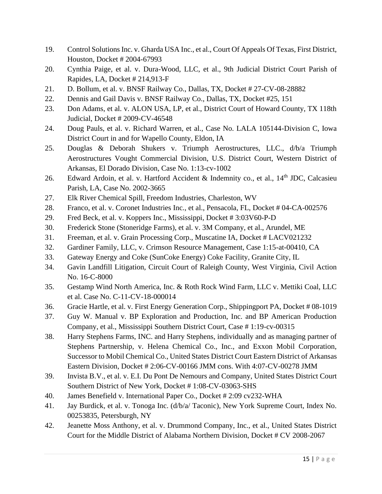- 19. Control Solutions Inc. v. Gharda USA Inc., et al., Court Of Appeals Of Texas, First District, Houston, Docket # 2004-67993
- 20. Cynthia Paige, et al. v. Dura-Wood, LLC, et al., 9th Judicial District Court Parish of Rapides, LA, Docket # 214,913-F
- 21. D. Bollum, et al. v. BNSF Railway Co., Dallas, TX, Docket # 27-CV-08-28882
- 22. Dennis and Gail Davis v. BNSF Railway Co., Dallas, TX, Docket #25, 151
- 23. Don Adams, et al. v. ALON USA, LP, et al., District Court of Howard County, TX 118th Judicial, Docket # 2009-CV-46548
- 24. Doug Pauls, et al. v. Richard Warren, et al., Case No. LALA 105144-Division C, Iowa District Court in and for Wapello County, Eldon, IA
- 25. Douglas & Deborah Shukers v. Triumph Aerostructures, LLC., d/b/a Triumph Aerostructures Vought Commercial Division, U.S. District Court, Western District of Arkansas, El Dorado Division, Case No. 1:13-cv-1002
- 26. Edward Ardoin, et al. v. Hartford Accident & Indemnity co., et al.,  $14<sup>th</sup>$  JDC, Calcasieu Parish, LA, Case No. 2002-3665
- 27. Elk River Chemical Spill, Freedom Industries, Charleston, WV
- 28. Franco, et al. v. Coronet Industries Inc., et al., Pensacola, FL, Docket # 04-CA-002576
- 29. Fred Beck, et al. v. Koppers Inc., Mississippi, Docket # 3:03V60-P-D
- 30. Frederick Stone (Stoneridge Farms), et al. v. 3M Company, et al., Arundel, ME
- 31. Freeman, et al. v. Grain Processing Corp., Muscatine IA, Docket # LACV021232
- 32. Gardiner Family, LLC, v. Crimson Resource Management, Case 1:15-at-00410, CA
- 33. Gateway Energy and Coke (SunCoke Energy) Coke Facility, Granite City, IL
- 34. Gavin Landfill Litigation, Circuit Court of Raleigh County, West Virginia, Civil Action No. 16-C-8000
- 35. Gestamp Wind North America, Inc. & Roth Rock Wind Farm, LLC v. Mettiki Coal, LLC et al. Case No. C-11-CV-18-000014
- 36. Gracie Hartle, et al. v. First Energy Generation Corp., Shippingport PA, Docket # 08-1019
- 37. Guy W. Manual v. BP Exploration and Production, Inc. and BP American Production Company, et al., Mississippi Southern District Court, Case # 1:19-cv-00315
- 38. Harry Stephens Farms, INC. and Harry Stephens, individually and as managing partner of Stephens Partnership, v. Helena Chemical Co., Inc., and Exxon Mobil Corporation, Successor to Mobil Chemical Co., United States District Court Eastern District of Arkansas Eastern Division, Docket # 2:06-CV-00166 JMM cons. With 4:07-CV-00278 JMM
- 39. Invista B.V., et al. v. E.I. Du Pont De Nemours and Company, United States District Court Southern District of New York, Docket # 1:08-CV-03063-SHS
- 40. James Benefield v. International Paper Co., Docket # 2:09 cv232-WHA
- 41. Jay Burdick, et al. v. Tonoga Inc. (d/b/a/ Taconic), New York Supreme Court, Index No. 00253835, Petersburgh, NY
- 42. Jeanette Moss Anthony, et al. v. Drummond Company, Inc., et al., United States District Court for the Middle District of Alabama Northern Division, Docket # CV 2008-2067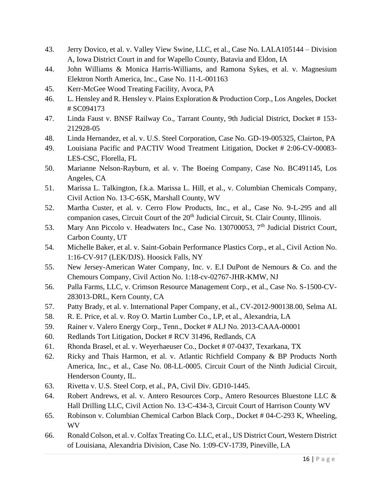- 43. Jerry Dovico, et al. v. Valley View Swine, LLC, et al., Case No. LALA105144 Division A, Iowa District Court in and for Wapello County, Batavia and Eldon, IA
- 44. John Williams & Monica Harris-Williams, and Ramona Sykes, et al. v. Magnesium Elektron North America, Inc., Case No. 11-L-001163
- 45. Kerr-McGee Wood Treating Facility, Avoca, PA
- 46. L. Hensley and R. Hensley v. Plains Exploration & Production Corp., Los Angeles, Docket # SC094173
- 47. Linda Faust v. BNSF Railway Co., Tarrant County, 9th Judicial District, Docket # 153- 212928-05
- 48. Linda Hernandez, et al. v. U.S. Steel Corporation, Case No. GD-19-005325, Clairton, PA
- 49. Louisiana Pacific and PACTIV Wood Treatment Litigation, Docket # 2:06-CV-00083- LES-CSC, Florella, FL
- 50. Marianne Nelson-Rayburn, et al. v. The Boeing Company, Case No. BC491145, Los Angeles, CA
- 51. Marissa L. Talkington, f.k.a. Marissa L. Hill, et al., v. Columbian Chemicals Company, Civil Action No. 13-C-65K, Marshall County, WV
- 52. Martha Custer, et al. v. Cerro Flow Products, Inc., et al., Case No. 9-L-295 and all companion cases, Circuit Court of the 20<sup>th</sup> Judicial Circuit, St. Clair County, Illinois.
- 53. Mary Ann Piccolo v. Headwaters Inc., Case No. 130700053, 7<sup>th</sup> Judicial District Court, Carbon County, UT
- 54. Michelle Baker, et al. v. Saint-Gobain Performance Plastics Corp., et al., Civil Action No. 1:16-CV-917 (LEK/DJS). Hoosick Falls, NY
- 55. New Jersey-American Water Company, Inc. v. E.I DuPont de Nemours & Co. and the Chemours Company, Civil Action No. 1:18-cv-02767-JHR-KMW, NJ
- 56. Palla Farms, LLC, v. Crimson Resource Management Corp., et al., Case No. S-1500-CV-283013-DRL, Kern County, CA
- 57. Patty Brady, et al. v. International Paper Company, et al., CV-2012-900138.00, Selma AL
- 58. R. E. Price, et al. v. Roy O. Martin Lumber Co., LP, et al., Alexandria, LA
- 59. Rainer v. Valero Energy Corp., Tenn., Docket # ALJ No. 2013-CAAA-00001
- 60. Redlands Tort Litigation, Docket # RCV 31496, Redlands, CA
- 61. Rhonda Brasel, et al. v. Weyerhaeuser Co., Docket # 07-0437, Texarkana, TX
- 62. Ricky and Thais Harmon, et al. v. Atlantic Richfield Company & BP Products North America, Inc., et al., Case No. 08-LL-0005. Circuit Court of the Ninth Judicial Circuit, Henderson County, IL.
- 63. Rivetta v. U.S. Steel Corp, et al., PA, Civil Div. GD10-1445.
- 64. Robert Andrews, et al. v. Antero Resources Corp., Antero Resources Bluestone LLC & Hall Drilling LLC, Civil Action No. 13-C-434-3, Circuit Court of Harrison County WV
- 65. Robinson v. Columbian Chemical Carbon Black Corp., Docket # 04-C-293 K, Wheeling, WV
- 66. Ronald Colson, et al. v. Colfax Treating Co. LLC, et al., US District Court, Western District of Louisiana, Alexandria Division, Case No. 1:09-CV-1739, Pineville, LA